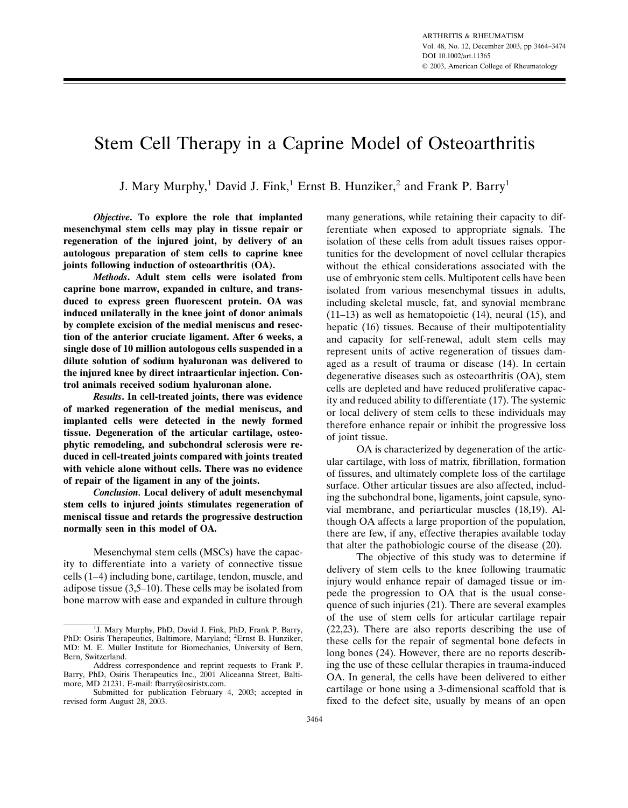# Stem Cell Therapy in a Caprine Model of Osteoarthritis

J. Mary Murphy,<sup>1</sup> David J. Fink,<sup>1</sup> Ernst B. Hunziker,<sup>2</sup> and Frank P. Barry<sup>1</sup>

*Objective***. To explore the role that implanted mesenchymal stem cells may play in tissue repair or regeneration of the injured joint, by delivery of an autologous preparation of stem cells to caprine knee joints following induction of osteoarthritis (OA).**

*Methods***. Adult stem cells were isolated from caprine bone marrow, expanded in culture, and transduced to express green fluorescent protein. OA was induced unilaterally in the knee joint of donor animals by complete excision of the medial meniscus and resection of the anterior cruciate ligament. After 6 weeks, a single dose of 10 million autologous cells suspended in a dilute solution of sodium hyaluronan was delivered to the injured knee by direct intraarticular injection. Control animals received sodium hyaluronan alone.**

*Results***. In cell-treated joints, there was evidence of marked regeneration of the medial meniscus, and implanted cells were detected in the newly formed tissue. Degeneration of the articular cartilage, osteophytic remodeling, and subchondral sclerosis were reduced in cell-treated joints compared with joints treated with vehicle alone without cells. There was no evidence of repair of the ligament in any of the joints.**

*Conclusion.* **Local delivery of adult mesenchymal stem cells to injured joints stimulates regeneration of meniscal tissue and retards the progressive destruction normally seen in this model of OA.**

Mesenchymal stem cells (MSCs) have the capacity to differentiate into a variety of connective tissue cells (1–4) including bone, cartilage, tendon, muscle, and adipose tissue (3,5–10). These cells may be isolated from bone marrow with ease and expanded in culture through many generations, while retaining their capacity to differentiate when exposed to appropriate signals. The isolation of these cells from adult tissues raises opportunities for the development of novel cellular therapies without the ethical considerations associated with the use of embryonic stem cells. Multipotent cells have been isolated from various mesenchymal tissues in adults, including skeletal muscle, fat, and synovial membrane (11–13) as well as hematopoietic (14), neural (15), and hepatic (16) tissues. Because of their multipotentiality and capacity for self-renewal, adult stem cells may represent units of active regeneration of tissues damaged as a result of trauma or disease (14). In certain degenerative diseases such as osteoarthritis (OA), stem cells are depleted and have reduced proliferative capacity and reduced ability to differentiate (17). The systemic or local delivery of stem cells to these individuals may therefore enhance repair or inhibit the progressive loss of joint tissue.

OA is characterized by degeneration of the articular cartilage, with loss of matrix, fibrillation, formation of fissures, and ultimately complete loss of the cartilage surface. Other articular tissues are also affected, including the subchondral bone, ligaments, joint capsule, synovial membrane, and periarticular muscles (18,19). Although OA affects a large proportion of the population, there are few, if any, effective therapies available today that alter the pathobiologic course of the disease (20).

The objective of this study was to determine if delivery of stem cells to the knee following traumatic injury would enhance repair of damaged tissue or impede the progression to OA that is the usual consequence of such injuries (21). There are several examples of the use of stem cells for articular cartilage repair (22,23). There are also reports describing the use of these cells for the repair of segmental bone defects in long bones (24). However, there are no reports describing the use of these cellular therapies in trauma-induced OA. In general, the cells have been delivered to either cartilage or bone using a 3-dimensional scaffold that is fixed to the defect site, usually by means of an open

<sup>&</sup>lt;sup>1</sup>J. Mary Murphy, PhD, David J. Fink, PhD, Frank P. Barry, PhD: Osiris Therapeutics, Baltimore, Maryland; <sup>2</sup>Ernst B. Hunziker, MD: M. E. Müller Institute for Biomechanics, University of Bern, Bern, Switzerland.

Address correspondence and reprint requests to Frank P. Barry, PhD, Osiris Therapeutics Inc., 2001 Aliceanna Street, Baltimore, MD 21231. E-mail: fbarry@osiristx.com.

Submitted for publication February 4, 2003; accepted in revised form August 28, 2003.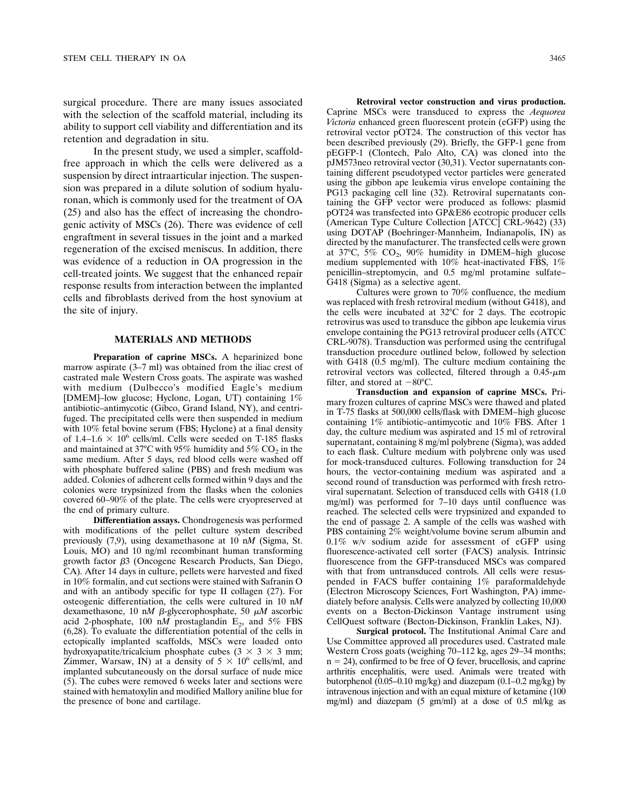surgical procedure. There are many issues associated with the selection of the scaffold material, including its ability to support cell viability and differentiation and its retention and degradation in situ.

In the present study, we used a simpler, scaffoldfree approach in which the cells were delivered as a suspension by direct intraarticular injection. The suspension was prepared in a dilute solution of sodium hyaluronan, which is commonly used for the treatment of OA (25) and also has the effect of increasing the chondrogenic activity of MSCs (26). There was evidence of cell engraftment in several tissues in the joint and a marked regeneration of the excised meniscus. In addition, there was evidence of a reduction in OA progression in the cell-treated joints. We suggest that the enhanced repair response results from interaction between the implanted cells and fibroblasts derived from the host synovium at the site of injury.

## **MATERIALS AND METHODS**

**Preparation of caprine MSCs.** A heparinized bone marrow aspirate (3–7 ml) was obtained from the iliac crest of castrated male Western Cross goats. The aspirate was washed with medium (Dulbecco's modified Eagle's medium [DMEM]–low glucose; Hyclone, Logan, UT) containing 1% antibiotic–antimycotic (Gibco, Grand Island, NY), and centrifuged. The precipitated cells were then suspended in medium with 10% fetal bovine serum (FBS; Hyclone) at a final density of 1.4–1.6  $\times$  10<sup>6</sup> cells/ml. Cells were seeded on T-185 flasks and maintained at 37°C with 95% humidity and 5%  $CO<sub>2</sub>$  in the same medium. After 5 days, red blood cells were washed off with phosphate buffered saline (PBS) and fresh medium was added. Colonies of adherent cells formed within 9 days and the colonies were trypsinized from the flasks when the colonies covered 60–90% of the plate. The cells were cryopreserved at the end of primary culture.

**Differentiation assays.** Chondrogenesis was performed with modifications of the pellet culture system described previously (7,9), using dexamethasone at 10 n*M* (Sigma, St. Louis, MO) and 10 ng/ml recombinant human transforming growth factor  $\beta$ 3 (Oncogene Research Products, San Diego, CA). After 14 days in culture, pellets were harvested and fixed in 10% formalin, and cut sections were stained with Safranin O and with an antibody specific for type II collagen (27). For osteogenic differentiation, the cells were cultured in 10 n*M* dexamethasone, 10 n*M* β-glycerophosphate, 50 μ*M* ascorbic acid 2-phosphate, 100 nM prostaglandin  $E_2$ , and 5% FBS (6,28). To evaluate the differentiation potential of the cells in ectopically implanted scaffolds, MSCs were loaded onto hydroxyapatite/tricalcium phosphate cubes  $(3 \times 3 \times 3 \text{ mm})$ ; Zimmer, Warsaw, IN) at a density of  $5 \times 10^6$  cells/ml, and implanted subcutaneously on the dorsal surface of nude mice (5). The cubes were removed 6 weeks later and sections were stained with hematoxylin and modified Mallory aniline blue for the presence of bone and cartilage.

**Retroviral vector construction and virus production.** Caprine MSCs were transduced to express the *Aequorea Victoria* enhanced green fluorescent protein (eGFP) using the retroviral vector pOT24. The construction of this vector has been described previously (29). Briefly, the GFP-1 gene from pEGFP-1 (Clontech, Palo Alto, CA) was cloned into the pJM573neo retroviral vector (30,31). Vector supernatants containing different pseudotyped vector particles were generated using the gibbon ape leukemia virus envelope containing the PG13 packaging cell line (32). Retroviral supernatants containing the GFP vector were produced as follows: plasmid pOT24 was transfected into GP&E86 ecotropic producer cells (American Type Culture Collection [ATCC] CRL-9642) (33) using DOTAP (Boehringer-Mannheim, Indianapolis, IN) as directed by the manufacturer. The transfected cells were grown at 37°C,  $5\%$  CO<sub>2</sub>, 90% humidity in DMEM-high glucose medium supplemented with 10% heat-inactivated FBS, 1% penicillin–streptomycin, and 0.5 mg/ml protamine sulfate– G418 (Sigma) as a selective agent.

Cultures were grown to 70% confluence, the medium was replaced with fresh retroviral medium (without G418), and the cells were incubated at 32°C for 2 days. The ecotropic retrovirus was used to transduce the gibbon ape leukemia virus envelope containing the PG13 retroviral producer cells (ATCC CRL-9078). Transduction was performed using the centrifugal transduction procedure outlined below, followed by selection with G418 (0.5 mg/ml). The culture medium containing the retroviral vectors was collected, filtered through a  $0.45$ - $\mu$ m filter, and stored at  $-80^{\circ}$ C.

**Transduction and expansion of caprine MSCs.** Primary frozen cultures of caprine MSCs were thawed and plated in T-75 flasks at 500,000 cells/flask with DMEM–high glucose containing 1% antibiotic–antimycotic and 10% FBS. After 1 day, the culture medium was aspirated and 15 ml of retroviral supernatant, containing 8 mg/ml polybrene (Sigma), was added to each flask. Culture medium with polybrene only was used for mock-transduced cultures. Following transduction for 24 hours, the vector-containing medium was aspirated and a second round of transduction was performed with fresh retroviral supernatant. Selection of transduced cells with G418 (1.0 mg/ml) was performed for 7–10 days until confluence was reached. The selected cells were trypsinized and expanded to the end of passage 2. A sample of the cells was washed with PBS containing 2% weight/volume bovine serum albumin and  $0.1\%$  w/v sodium azide for assessment of eGFP using fluorescence-activated cell sorter (FACS) analysis. Intrinsic fluorescence from the GFP-transduced MSCs was compared with that from untransduced controls. All cells were resuspended in FACS buffer containing 1% paraformaldehyde (Electron Microscopy Sciences, Fort Washington, PA) immediately before analysis. Cells were analyzed by collecting 10,000 events on a Becton-Dickinson Vantage instrument using CellQuest software (Becton-Dickinson, Franklin Lakes, NJ).

**Surgical protocol.** The Institutional Animal Care and Use Committee approved all procedures used. Castrated male Western Cross goats (weighing 70–112 kg, ages 29–34 months;  $n = 24$ ), confirmed to be free of Q fever, brucellosis, and caprine arthritis encephalitis, were used. Animals were treated with butorphenol  $(0.05-0.10 \text{ mg/kg})$  and diazepam  $(0.1-0.2 \text{ mg/kg})$  by intravenous injection and with an equal mixture of ketamine (100 mg/ml) and diazepam (5 gm/ml) at a dose of 0.5 ml/kg as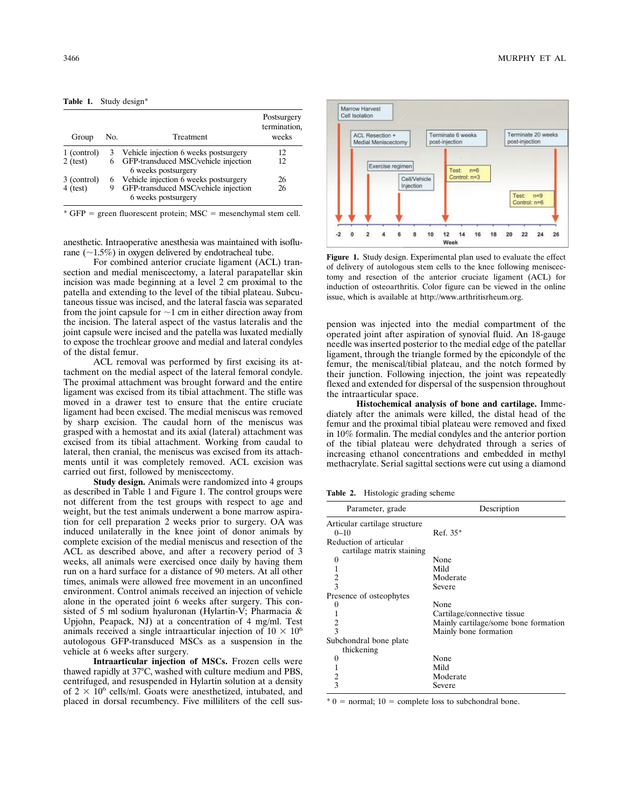**Table 1.** Study design\*

| Group       | No. | Treatment                                                   | Postsurgery<br>termination,<br>weeks |
|-------------|-----|-------------------------------------------------------------|--------------------------------------|
| 1 (control) |     | Vehicle injection 6 weeks postsurgery                       | 12.                                  |
| $2$ (test)  | 6   | GFP-transduced MSC/vehicle injection<br>6 weeks postsurgery | 12.                                  |
| 3 (control) | 6.  | Vehicle injection 6 weeks postsurgery                       | 26                                   |
| $4$ (test)  | 9   | GFP-transduced MSC/vehicle injection<br>6 weeks postsurgery | 26                                   |

 $*$  GFP = green fluorescent protein; MSC = mesenchymal stem cell.

anesthetic. Intraoperative anesthesia was maintained with isoflurane ( $\sim$ 1.5%) in oxygen delivered by endotracheal tube.

For combined anterior cruciate ligament (ACL) transection and medial meniscectomy, a lateral parapatellar skin incision was made beginning at a level 2 cm proximal to the patella and extending to the level of the tibial plateau. Subcutaneous tissue was incised, and the lateral fascia was separated from the joint capsule for  $\sim$ 1 cm in either direction away from the incision. The lateral aspect of the vastus lateralis and the joint capsule were incised and the patella was luxated medially to expose the trochlear groove and medial and lateral condyles of the distal femur.

ACL removal was performed by first excising its attachment on the medial aspect of the lateral femoral condyle. The proximal attachment was brought forward and the entire ligament was excised from its tibial attachment. The stifle was moved in a drawer test to ensure that the entire cruciate ligament had been excised. The medial meniscus was removed by sharp excision. The caudal horn of the meniscus was grasped with a hemostat and its axial (lateral) attachment was excised from its tibial attachment. Working from caudal to lateral, then cranial, the meniscus was excised from its attachments until it was completely removed. ACL excision was carried out first, followed by meniscectomy.

**Study design.** Animals were randomized into 4 groups as described in Table 1 and Figure 1. The control groups were not different from the test groups with respect to age and weight, but the test animals underwent a bone marrow aspiration for cell preparation 2 weeks prior to surgery. OA was induced unilaterally in the knee joint of donor animals by complete excision of the medial meniscus and resection of the ACL as described above, and after a recovery period of 3 weeks, all animals were exercised once daily by having them run on a hard surface for a distance of 90 meters. At all other times, animals were allowed free movement in an unconfined environment. Control animals received an injection of vehicle alone in the operated joint 6 weeks after surgery. This consisted of 5 ml sodium hyaluronan (Hylartin-V; Pharmacia & Upjohn, Peapack, NJ) at a concentration of 4 mg/ml. Test animals received a single intraarticular injection of  $10 \times 10^6$ autologous GFP-transduced MSCs as a suspension in the vehicle at 6 weeks after surgery.

**Intraarticular injection of MSCs.** Frozen cells were thawed rapidly at 37°C, washed with culture medium and PBS, centrifuged, and resuspended in Hylartin solution at a density of  $2 \times 10^6$  cells/ml. Goats were anesthetized, intubated, and placed in dorsal recumbency. Five milliliters of the cell sus-



**Figure 1.** Study design. Experimental plan used to evaluate the effect of delivery of autologous stem cells to the knee following meniscectomy and resection of the anterior cruciate ligament (ACL) for induction of osteoarthritis. Color figure can be viewed in the online issue, which is available at http://www.arthritisrheum.org.

pension was injected into the medial compartment of the operated joint after aspiration of synovial fluid. An 18-gauge needle was inserted posterior to the medial edge of the patellar ligament, through the triangle formed by the epicondyle of the femur, the meniscal/tibial plateau, and the notch formed by their junction. Following injection, the joint was repeatedly flexed and extended for dispersal of the suspension throughout the intraarticular space.

**Histochemical analysis of bone and cartilage.** Immediately after the animals were killed, the distal head of the femur and the proximal tibial plateau were removed and fixed in 10% formalin. The medial condyles and the anterior portion of the tibial plateau were dehydrated through a series of increasing ethanol concentrations and embedded in methyl methacrylate. Serial sagittal sections were cut using a diamond

**Table 2.** Histologic grading scheme

| Parameter, grade                                    | Description                          |
|-----------------------------------------------------|--------------------------------------|
| Articular cartilage structure                       |                                      |
| $0 - 10$                                            | Ref. $35*$                           |
| Reduction of articular<br>cartilage matrix staining |                                      |
| $\theta$                                            | None                                 |
| 1                                                   | Mild                                 |
| 2                                                   | Moderate                             |
| $\overline{\mathcal{E}}$                            | Severe                               |
| Presence of osteophytes                             |                                      |
|                                                     | None                                 |
|                                                     | Cartilage/connective tissue          |
| 2                                                   | Mainly cartilage/some bone formation |
| $\overline{\mathbf{3}}$                             | Mainly bone formation                |
| Subchondral bone plate                              |                                      |
| thickening                                          |                                      |
| $_{0}$                                              | None                                 |
|                                                     | Mild                                 |
|                                                     | Moderate                             |
| 3                                                   | Severe                               |

 $* 0 =$  normal; 10 = complete loss to subchondral bone.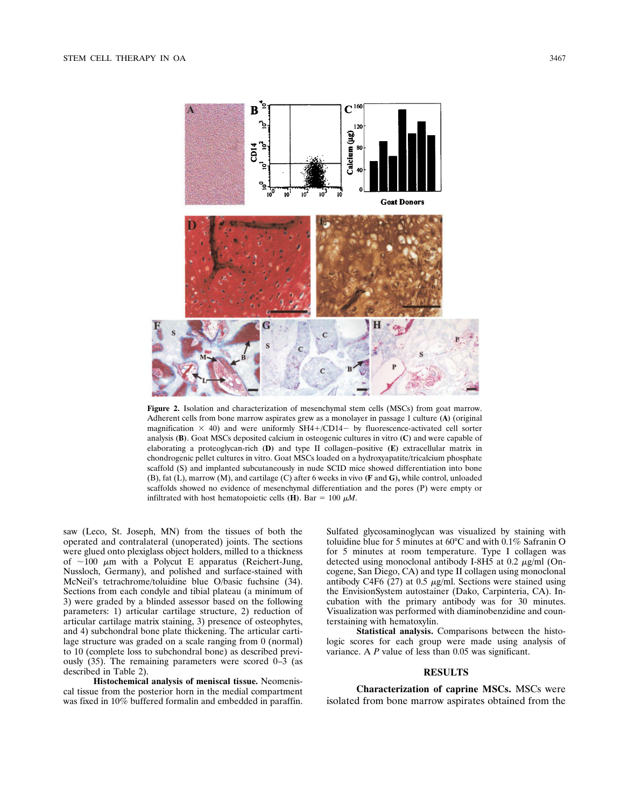

**Figure 2.** Isolation and characterization of mesenchymal stem cells (MSCs) from goat marrow. Adherent cells from bone marrow aspirates grew as a monolayer in passage 1 culture **(A)** (original magnification  $\times$  40) and were uniformly SH4+/CD14- by fluorescence-activated cell sorter analysis **(B)**. Goat MSCs deposited calcium in osteogenic cultures in vitro **(C)** and were capable of elaborating a proteoglycan-rich **(D)** and type II collagen–positive **(E)** extracellular matrix in chondrogenic pellet cultures in vitro. Goat MSCs loaded on a hydroxyapatite/tricalcium phosphate scaffold (S) and implanted subcutaneously in nude SCID mice showed differentiation into bone (B), fat (L), marrow (M), and cartilage (C) after 6 weeks in vivo **(F** and **G),** while control, unloaded scaffolds showed no evidence of mesenchymal differentiation and the pores (P) were empty or infiltrated with host hematopoietic cells  $(H)$ . Bar = 100  $\mu$ M.

saw (Leco, St. Joseph, MN) from the tissues of both the operated and contralateral (unoperated) joints. The sections were glued onto plexiglass object holders, milled to a thickness of  $\sim$ 100  $\mu$ m with a Polycut E apparatus (Reichert-Jung, Nussloch, Germany), and polished and surface-stained with McNeil's tetrachrome/toluidine blue O/basic fuchsine (34). Sections from each condyle and tibial plateau (a minimum of 3) were graded by a blinded assessor based on the following parameters: 1) articular cartilage structure, 2) reduction of articular cartilage matrix staining, 3) presence of osteophytes, and 4) subchondral bone plate thickening. The articular cartilage structure was graded on a scale ranging from 0 (normal) to 10 (complete loss to subchondral bone) as described previously (35). The remaining parameters were scored 0–3 (as described in Table 2).

**Histochemical analysis of meniscal tissue.** Neomeniscal tissue from the posterior horn in the medial compartment was fixed in 10% buffered formalin and embedded in paraffin. Sulfated glycosaminoglycan was visualized by staining with toluidine blue for 5 minutes at 60°C and with 0.1% Safranin O for 5 minutes at room temperature. Type I collagen was detected using monoclonal antibody I-8H5 at 0.2  $\mu$ g/ml (Oncogene, San Diego, CA) and type II collagen using monoclonal antibody C4F6 (27) at 0.5  $\mu$ g/ml. Sections were stained using the EnvisionSystem autostainer (Dako, Carpinteria, CA). Incubation with the primary antibody was for 30 minutes. Visualization was performed with diaminobenzidine and counterstaining with hematoxylin.

**Statistical analysis.** Comparisons between the histologic scores for each group were made using analysis of variance. A *P* value of less than 0.05 was significant.

#### **RESULTS**

**Characterization of caprine MSCs.** MSCs were isolated from bone marrow aspirates obtained from the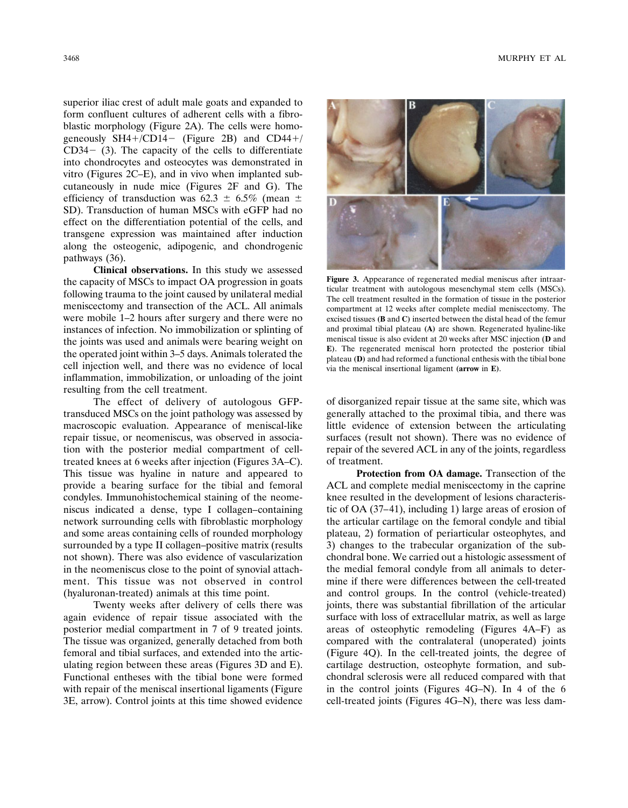superior iliac crest of adult male goats and expanded to form confluent cultures of adherent cells with a fibroblastic morphology (Figure 2A). The cells were homogeneously  $SH4 + /CD14 -$  (Figure 2B) and CD44+/ CD34- (3). The capacity of the cells to differentiate into chondrocytes and osteocytes was demonstrated in vitro (Figures 2C–E), and in vivo when implanted subcutaneously in nude mice (Figures 2F and G). The efficiency of transduction was 62.3  $\pm$  6.5% (mean  $\pm$ SD). Transduction of human MSCs with eGFP had no effect on the differentiation potential of the cells, and transgene expression was maintained after induction along the osteogenic, adipogenic, and chondrogenic pathways (36).

**Clinical observations.** In this study we assessed the capacity of MSCs to impact OA progression in goats following trauma to the joint caused by unilateral medial meniscectomy and transection of the ACL. All animals were mobile 1–2 hours after surgery and there were no instances of infection. No immobilization or splinting of the joints was used and animals were bearing weight on the operated joint within 3–5 days. Animals tolerated the cell injection well, and there was no evidence of local inflammation, immobilization, or unloading of the joint resulting from the cell treatment.

The effect of delivery of autologous GFPtransduced MSCs on the joint pathology was assessed by macroscopic evaluation. Appearance of meniscal-like repair tissue, or neomeniscus, was observed in association with the posterior medial compartment of celltreated knees at 6 weeks after injection (Figures 3A–C). This tissue was hyaline in nature and appeared to provide a bearing surface for the tibial and femoral condyles. Immunohistochemical staining of the neomeniscus indicated a dense, type I collagen–containing network surrounding cells with fibroblastic morphology and some areas containing cells of rounded morphology surrounded by a type II collagen–positive matrix (results not shown). There was also evidence of vascularization in the neomeniscus close to the point of synovial attachment. This tissue was not observed in control (hyaluronan-treated) animals at this time point.

Twenty weeks after delivery of cells there was again evidence of repair tissue associated with the posterior medial compartment in 7 of 9 treated joints. The tissue was organized, generally detached from both femoral and tibial surfaces, and extended into the articulating region between these areas (Figures 3D and E). Functional entheses with the tibial bone were formed with repair of the meniscal insertional ligaments (Figure 3E, arrow). Control joints at this time showed evidence



**Figure 3.** Appearance of regenerated medial meniscus after intraarticular treatment with autologous mesenchymal stem cells (MSCs). The cell treatment resulted in the formation of tissue in the posterior compartment at 12 weeks after complete medial meniscectomy. The excised tissues **(B** and **C)** inserted between the distal head of the femur and proximal tibial plateau **(A)** are shown. Regenerated hyaline-like meniscal tissue is also evident at 20 weeks after MSC injection (**D** and **E)**. The regenerated meniscal horn protected the posterior tibial plateau **(D)** and had reformed a functional enthesis with the tibial bone via the meniscal insertional ligament **(arrow** in **E)**.

of disorganized repair tissue at the same site, which was generally attached to the proximal tibia, and there was little evidence of extension between the articulating surfaces (result not shown). There was no evidence of repair of the severed ACL in any of the joints, regardless of treatment.

**Protection from OA damage.** Transection of the ACL and complete medial meniscectomy in the caprine knee resulted in the development of lesions characteristic of OA (37–41), including 1) large areas of erosion of the articular cartilage on the femoral condyle and tibial plateau, 2) formation of periarticular osteophytes, and 3) changes to the trabecular organization of the subchondral bone. We carried out a histologic assessment of the medial femoral condyle from all animals to determine if there were differences between the cell-treated and control groups. In the control (vehicle-treated) joints, there was substantial fibrillation of the articular surface with loss of extracellular matrix, as well as large areas of osteophytic remodeling (Figures 4A–F) as compared with the contralateral (unoperated) joints (Figure 4Q). In the cell-treated joints, the degree of cartilage destruction, osteophyte formation, and subchondral sclerosis were all reduced compared with that in the control joints (Figures 4G–N). In 4 of the 6 cell-treated joints (Figures 4G–N), there was less dam-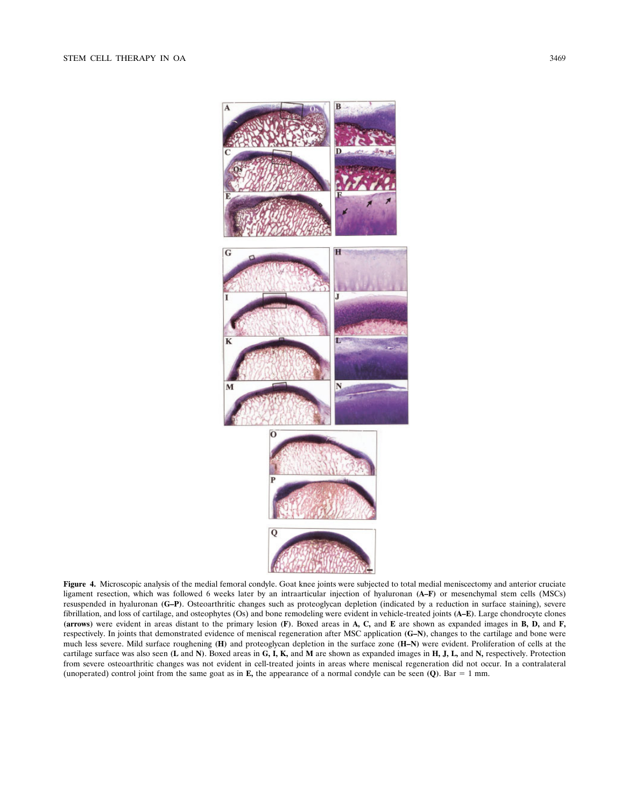

**Figure 4.** Microscopic analysis of the medial femoral condyle. Goat knee joints were subjected to total medial meniscectomy and anterior cruciate ligament resection, which was followed 6 weeks later by an intraarticular injection of hyaluronan **(A–F)** or mesenchymal stem cells (MSCs) resuspended in hyaluronan **(G–P)**. Osteoarthritic changes such as proteoglycan depletion (indicated by a reduction in surface staining), severe fibrillation, and loss of cartilage, and osteophytes (Os) and bone remodeling were evident in vehicle-treated joints **(A–E)**. Large chondrocyte clones **(arrows)** were evident in areas distant to the primary lesion **(F)**. Boxed areas in **A, C,** and **E** are shown as expanded images in **B, D,** and **F,** respectively. In joints that demonstrated evidence of meniscal regeneration after MSC application **(G–N)**, changes to the cartilage and bone were much less severe. Mild surface roughening **(H)** and proteoglycan depletion in the surface zone **(H–N)** were evident. Proliferation of cells at the cartilage surface was also seen **(L** and **N)**. Boxed areas in **G, I, K,** and **M** are shown as expanded images in **H, J, L,** and **N,** respectively. Protection from severe osteoarthritic changes was not evident in cell-treated joints in areas where meniscal regeneration did not occur. In a contralateral (unoperated) control joint from the same goat as in  $E$ , the appearance of a normal condyle can be seen  $(Q)$ . Bar  $= 1$  mm.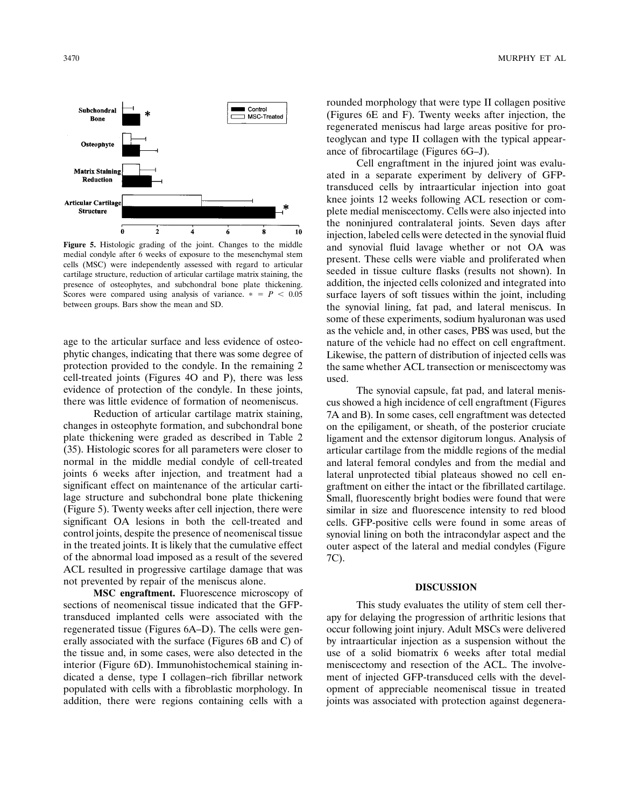

**Figure 5.** Histologic grading of the joint. Changes to the middle medial condyle after 6 weeks of exposure to the mesenchymal stem cells (MSC) were independently assessed with regard to articular cartilage structure, reduction of articular cartilage matrix staining, the presence of osteophytes, and subchondral bone plate thickening. Scores were compared using analysis of variance.  $* = P < 0.05$ between groups. Bars show the mean and SD.

age to the articular surface and less evidence of osteophytic changes, indicating that there was some degree of protection provided to the condyle. In the remaining 2 cell-treated joints (Figures 4O and P), there was less evidence of protection of the condyle. In these joints, there was little evidence of formation of neomeniscus.

Reduction of articular cartilage matrix staining, changes in osteophyte formation, and subchondral bone plate thickening were graded as described in Table 2 (35). Histologic scores for all parameters were closer to normal in the middle medial condyle of cell-treated joints 6 weeks after injection, and treatment had a significant effect on maintenance of the articular cartilage structure and subchondral bone plate thickening (Figure 5). Twenty weeks after cell injection, there were significant OA lesions in both the cell-treated and control joints, despite the presence of neomeniscal tissue in the treated joints. It is likely that the cumulative effect of the abnormal load imposed as a result of the severed ACL resulted in progressive cartilage damage that was not prevented by repair of the meniscus alone.

**MSC engraftment.** Fluorescence microscopy of sections of neomeniscal tissue indicated that the GFPtransduced implanted cells were associated with the regenerated tissue (Figures 6A–D). The cells were generally associated with the surface (Figures 6B and C) of the tissue and, in some cases, were also detected in the interior (Figure 6D). Immunohistochemical staining indicated a dense, type I collagen–rich fibrillar network populated with cells with a fibroblastic morphology. In addition, there were regions containing cells with a rounded morphology that were type II collagen positive (Figures 6E and F). Twenty weeks after injection, the regenerated meniscus had large areas positive for proteoglycan and type II collagen with the typical appearance of fibrocartilage (Figures 6G–J).

Cell engraftment in the injured joint was evaluated in a separate experiment by delivery of GFPtransduced cells by intraarticular injection into goat knee joints 12 weeks following ACL resection or complete medial meniscectomy. Cells were also injected into the noninjured contralateral joints. Seven days after injection, labeled cells were detected in the synovial fluid and synovial fluid lavage whether or not OA was present. These cells were viable and proliferated when seeded in tissue culture flasks (results not shown). In addition, the injected cells colonized and integrated into surface layers of soft tissues within the joint, including the synovial lining, fat pad, and lateral meniscus. In some of these experiments, sodium hyaluronan was used as the vehicle and, in other cases, PBS was used, but the nature of the vehicle had no effect on cell engraftment. Likewise, the pattern of distribution of injected cells was the same whether ACL transection or meniscectomy was used.

The synovial capsule, fat pad, and lateral meniscus showed a high incidence of cell engraftment (Figures 7A and B). In some cases, cell engraftment was detected on the epiligament, or sheath, of the posterior cruciate ligament and the extensor digitorum longus. Analysis of articular cartilage from the middle regions of the medial and lateral femoral condyles and from the medial and lateral unprotected tibial plateaus showed no cell engraftment on either the intact or the fibrillated cartilage. Small, fluorescently bright bodies were found that were similar in size and fluorescence intensity to red blood cells. GFP-positive cells were found in some areas of synovial lining on both the intracondylar aspect and the outer aspect of the lateral and medial condyles (Figure 7C).

#### **DISCUSSION**

This study evaluates the utility of stem cell therapy for delaying the progression of arthritic lesions that occur following joint injury. Adult MSCs were delivered by intraarticular injection as a suspension without the use of a solid biomatrix 6 weeks after total medial meniscectomy and resection of the ACL. The involvement of injected GFP-transduced cells with the development of appreciable neomeniscal tissue in treated joints was associated with protection against degenera-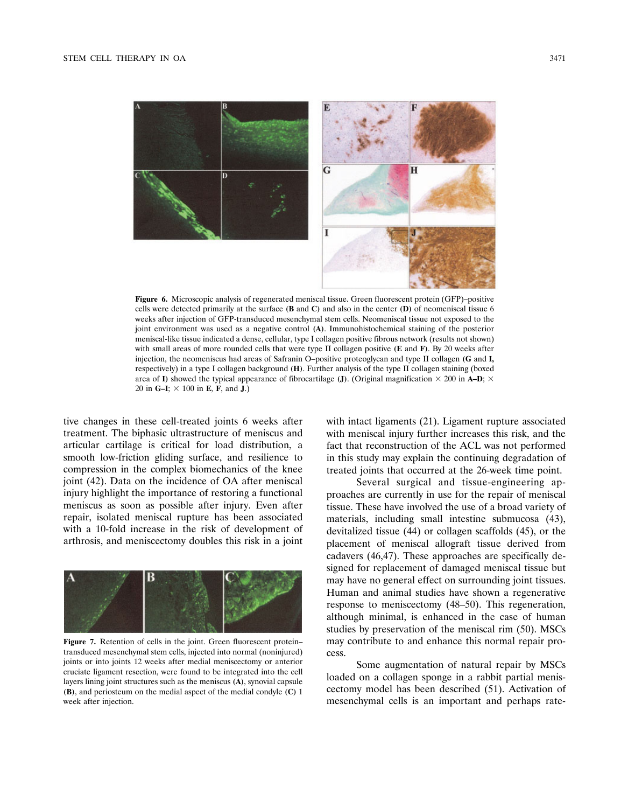

**Figure 6.** Microscopic analysis of regenerated meniscal tissue. Green fluorescent protein (GFP)–positive cells were detected primarily at the surface **(B** and **C)** and also in the center **(D)** of neomeniscal tissue 6 weeks after injection of GFP-transduced mesenchymal stem cells. Neomeniscal tissue not exposed to the joint environment was used as a negative control **(A)**. Immunohistochemical staining of the posterior meniscal-like tissue indicated a dense, cellular, type I collagen positive fibrous network (results not shown) with small areas of more rounded cells that were type II collagen positive **(E** and **F)**. By 20 weeks after injection, the neomeniscus had areas of Safranin O–positive proteoglycan and type II collagen **(G** and **I,** respectively) in a type I collagen background **(H)**. Further analysis of the type II collagen staining (boxed area of **I**) showed the typical appearance of fibrocartilage **(J)**. (Original magnification  $\times$  200 in **A–D**;  $\times$ 20 in **G–I**;  $\times$  100 in **E**, **F**, and **J**.)

tive changes in these cell-treated joints 6 weeks after treatment. The biphasic ultrastructure of meniscus and articular cartilage is critical for load distribution, a smooth low-friction gliding surface, and resilience to compression in the complex biomechanics of the knee joint (42). Data on the incidence of OA after meniscal injury highlight the importance of restoring a functional meniscus as soon as possible after injury. Even after repair, isolated meniscal rupture has been associated with a 10-fold increase in the risk of development of arthrosis, and meniscectomy doubles this risk in a joint



**Figure 7.** Retention of cells in the joint. Green fluorescent protein– transduced mesenchymal stem cells, injected into normal (noninjured) joints or into joints 12 weeks after medial meniscectomy or anterior cruciate ligament resection, were found to be integrated into the cell layers lining joint structures such as the meniscus **(A)**, synovial capsule **(B)**, and periosteum on the medial aspect of the medial condyle **(C)** 1 week after injection.

with intact ligaments (21). Ligament rupture associated with meniscal injury further increases this risk, and the fact that reconstruction of the ACL was not performed in this study may explain the continuing degradation of treated joints that occurred at the 26-week time point.

Several surgical and tissue-engineering approaches are currently in use for the repair of meniscal tissue. These have involved the use of a broad variety of materials, including small intestine submucosa (43), devitalized tissue (44) or collagen scaffolds (45), or the placement of meniscal allograft tissue derived from cadavers (46,47). These approaches are specifically designed for replacement of damaged meniscal tissue but may have no general effect on surrounding joint tissues. Human and animal studies have shown a regenerative response to meniscectomy (48–50). This regeneration, although minimal, is enhanced in the case of human studies by preservation of the meniscal rim (50). MSCs may contribute to and enhance this normal repair process.

Some augmentation of natural repair by MSCs loaded on a collagen sponge in a rabbit partial meniscectomy model has been described (51). Activation of mesenchymal cells is an important and perhaps rate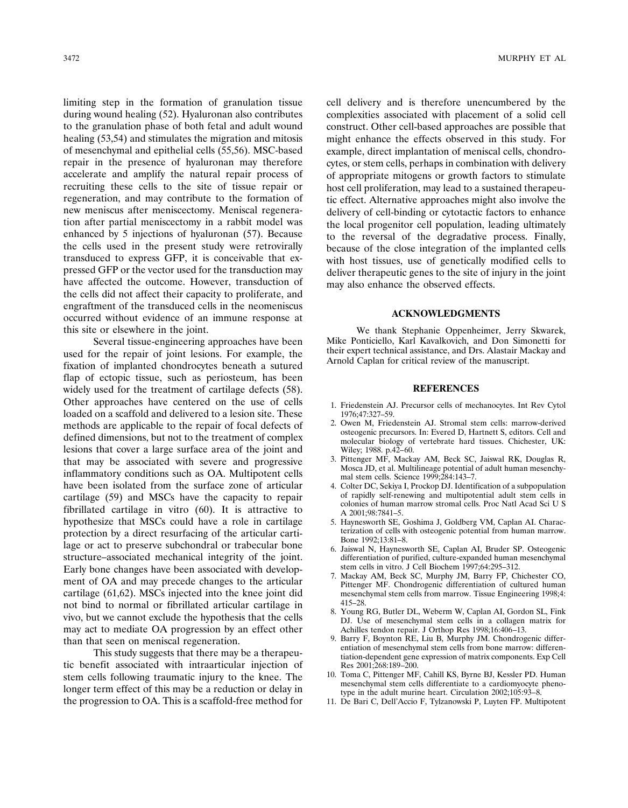limiting step in the formation of granulation tissue during wound healing (52). Hyaluronan also contributes to the granulation phase of both fetal and adult wound healing (53,54) and stimulates the migration and mitosis of mesenchymal and epithelial cells (55,56). MSC-based repair in the presence of hyaluronan may therefore accelerate and amplify the natural repair process of recruiting these cells to the site of tissue repair or regeneration, and may contribute to the formation of new meniscus after meniscectomy. Meniscal regeneration after partial meniscectomy in a rabbit model was enhanced by 5 injections of hyaluronan (57). Because the cells used in the present study were retrovirally transduced to express GFP, it is conceivable that expressed GFP or the vector used for the transduction may have affected the outcome. However, transduction of the cells did not affect their capacity to proliferate, and engraftment of the transduced cells in the neomeniscus occurred without evidence of an immune response at this site or elsewhere in the joint.

Several tissue-engineering approaches have been used for the repair of joint lesions. For example, the fixation of implanted chondrocytes beneath a sutured flap of ectopic tissue, such as periosteum, has been widely used for the treatment of cartilage defects (58). Other approaches have centered on the use of cells loaded on a scaffold and delivered to a lesion site. These methods are applicable to the repair of focal defects of defined dimensions, but not to the treatment of complex lesions that cover a large surface area of the joint and that may be associated with severe and progressive inflammatory conditions such as OA. Multipotent cells have been isolated from the surface zone of articular cartilage (59) and MSCs have the capacity to repair fibrillated cartilage in vitro (60). It is attractive to hypothesize that MSCs could have a role in cartilage protection by a direct resurfacing of the articular cartilage or act to preserve subchondral or trabecular bone structure–associated mechanical integrity of the joint. Early bone changes have been associated with development of OA and may precede changes to the articular cartilage (61,62). MSCs injected into the knee joint did not bind to normal or fibrillated articular cartilage in vivo, but we cannot exclude the hypothesis that the cells may act to mediate OA progression by an effect other than that seen on meniscal regeneration.

This study suggests that there may be a therapeutic benefit associated with intraarticular injection of stem cells following traumatic injury to the knee. The longer term effect of this may be a reduction or delay in the progression to OA. This is a scaffold-free method for cell delivery and is therefore unencumbered by the complexities associated with placement of a solid cell construct. Other cell-based approaches are possible that might enhance the effects observed in this study. For example, direct implantation of meniscal cells, chondrocytes, or stem cells, perhaps in combination with delivery of appropriate mitogens or growth factors to stimulate host cell proliferation, may lead to a sustained therapeutic effect. Alternative approaches might also involve the delivery of cell-binding or cytotactic factors to enhance the local progenitor cell population, leading ultimately to the reversal of the degradative process. Finally, because of the close integration of the implanted cells with host tissues, use of genetically modified cells to deliver therapeutic genes to the site of injury in the joint may also enhance the observed effects.

### **ACKNOWLEDGMENTS**

We thank Stephanie Oppenheimer, Jerry Skwarek, Mike Ponticiello, Karl Kavalkovich, and Don Simonetti for their expert technical assistance, and Drs. Alastair Mackay and Arnold Caplan for critical review of the manuscript.

## **REFERENCES**

- 1. Friedenstein AJ. Precursor cells of mechanocytes. Int Rev Cytol 1976;47:327–59.
- 2. Owen M, Friedenstein AJ. Stromal stem cells: marrow-derived osteogenic precursors. In: Evered D, Hartnett S, editors. Cell and molecular biology of vertebrate hard tissues. Chichester, UK: Wiley; 1988. p.42–60.
- 3. Pittenger MF, Mackay AM, Beck SC, Jaiswal RK, Douglas R, Mosca JD, et al. Multilineage potential of adult human mesenchymal stem cells. Science 1999;284:143–7.
- 4. Colter DC, Sekiya I, Prockop DJ. Identification of a subpopulation of rapidly self-renewing and multipotential adult stem cells in colonies of human marrow stromal cells. Proc Natl Acad Sci U S A 2001;98:7841–5.
- 5. Haynesworth SE, Goshima J, Goldberg VM, Caplan AI. Characterization of cells with osteogenic potential from human marrow. Bone 1992;13:81–8.
- 6. Jaiswal N, Haynesworth SE, Caplan AI, Bruder SP. Osteogenic differentiation of purified, culture-expanded human mesenchymal stem cells in vitro. J Cell Biochem 1997;64:295–312.
- 7. Mackay AM, Beck SC, Murphy JM, Barry FP, Chichester CO, Pittenger MF. Chondrogenic differentiation of cultured human mesenchymal stem cells from marrow. Tissue Engineering 1998;4: 415–28.
- 8. Young RG, Butler DL, Weberm W, Caplan AI, Gordon SL, Fink DJ. Use of mesenchymal stem cells in a collagen matrix for Achilles tendon repair. J Orthop Res 1998;16:406–13.
- 9. Barry F, Boynton RE, Liu B, Murphy JM. Chondrogenic differentiation of mesenchymal stem cells from bone marrow: differentiation-dependent gene expression of matrix components. Exp Cell Res 2001;268:189–200.
- 10. Toma C, Pittenger MF, Cahill KS, Byrne BJ, Kessler PD. Human mesenchymal stem cells differentiate to a cardiomyocyte phenotype in the adult murine heart. Circulation 2002;105:93–8.
- 11. De Bari C, Dell'Accio F, Tylzanowski P, Luyten FP. Multipotent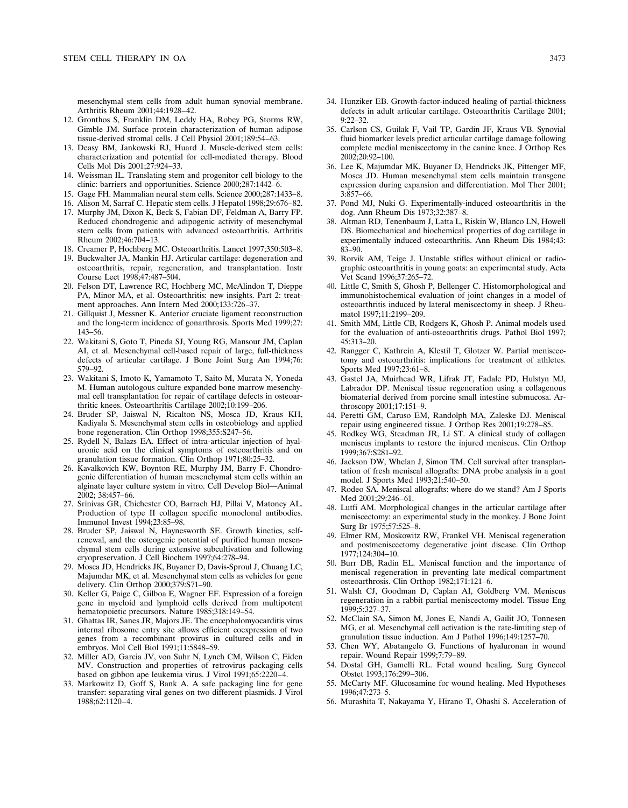mesenchymal stem cells from adult human synovial membrane. Arthritis Rheum 2001;44:1928–42.

- 12. Gronthos S, Franklin DM, Leddy HA, Robey PG, Storms RW, Gimble JM. Surface protein characterization of human adipose tissue-derived stromal cells. J Cell Physiol 2001;189:54–63.
- 13. Deasy BM, Jankowski RJ, Huard J. Muscle-derived stem cells: characterization and potential for cell-mediated therapy. Blood Cells Mol Dis 2001;27:924–33.
- 14. Weissman IL. Translating stem and progenitor cell biology to the clinic: barriers and opportunities. Science 2000;287:1442–6.
- 15. Gage FH. Mammalian neural stem cells. Science 2000;287:1433–8.
- 16. Alison M, Sarraf C. Hepatic stem cells. J Hepatol 1998;29:676–82.
- 17. Murphy JM, Dixon K, Beck S, Fabian DF, Feldman A, Barry FP. Reduced chondrogenic and adipogenic activity of mesenchymal stem cells from patients with advanced osteoarthritis. Arthritis Rheum 2002;46:704–13.
- 18. Creamer P, Hochberg MC. Osteoarthritis. Lancet 1997;350:503–8.
- 19. Buckwalter JA, Mankin HJ. Articular cartilage: degeneration and osteoarthritis, repair, regeneration, and transplantation. Instr Course Lect 1998;47:487–504.
- 20. Felson DT, Lawrence RC, Hochberg MC, McAlindon T, Dieppe PA, Minor MA, et al. Osteoarthritis: new insights. Part 2: treatment approaches. Ann Intern Med 2000;133:726–37.
- 21. Gillquist J, Messner K. Anterior cruciate ligament reconstruction and the long-term incidence of gonarthrosis. Sports Med 1999;27: 143–56.
- 22. Wakitani S, Goto T, Pineda SJ, Young RG, Mansour JM, Caplan AI, et al. Mesenchymal cell-based repair of large, full-thickness defects of articular cartilage. J Bone Joint Surg Am 1994;76: 579–92.
- 23. Wakitani S, Imoto K, Yamamoto T, Saito M, Murata N, Yoneda M. Human autologous culture expanded bone marrow mesenchymal cell transplantation for repair of cartilage defects in osteoarthritic knees. Osteoarthritis Cartilage 2002;10:199–206.
- 24. Bruder SP, Jaiswal N, Ricalton NS, Mosca JD, Kraus KH, Kadiyala S. Mesenchymal stem cells in osteobiology and applied bone regeneration. Clin Orthop 1998;355:S247–56.
- 25. Rydell N, Balazs EA. Effect of intra-articular injection of hyaluronic acid on the clinical symptoms of osteoarthritis and on granulation tissue formation. Clin Orthop 1971;80:25–32.
- 26. Kavalkovich KW, Boynton RE, Murphy JM, Barry F. Chondrogenic differentiation of human mesenchymal stem cells within an alginate layer culture system in vitro. Cell Develop Biol—Animal 2002; 38:457–66.
- 27. Srinivas GR, Chichester CO, Barrach HJ, Pillai V, Matoney AL. Production of type II collagen specific monoclonal antibodies. Immunol Invest 1994;23:85–98.
- 28. Bruder SP, Jaiswal N, Haynesworth SE. Growth kinetics, selfrenewal, and the osteogenic potential of purified human mesenchymal stem cells during extensive subcultivation and following cryopreservation. J Cell Biochem 1997;64:278–94.
- 29. Mosca JD, Hendricks JK, Buyaner D, Davis-Sproul J, Chuang LC, Majumdar MK, et al. Mesenchymal stem cells as vehicles for gene delivery. Clin Orthop 2000;379:S71–90.
- 30. Keller G, Paige C, Gilboa E, Wagner EF. Expression of a foreign gene in myeloid and lymphoid cells derived from multipotent hematopoietic precursors. Nature 1985;318:149–54.
- 31. Ghattas IR, Sanes JR, Majors JE. The encephalomyocarditis virus internal ribosome entry site allows efficient coexpression of two genes from a recombinant provirus in cultured cells and in embryos. Mol Cell Biol 1991;11:5848–59.
- 32. Miller AD, Garcia JV, von Suhr N, Lynch CM, Wilson C, Eiden MV. Construction and properties of retrovirus packaging cells based on gibbon ape leukemia virus. J Virol 1991;65:2220–4.
- 33. Markowitz D, Goff S, Bank A. A safe packaging line for gene transfer: separating viral genes on two different plasmids. J Virol 1988;62:1120–4.
- 34. Hunziker EB. Growth-factor-induced healing of partial-thickness defects in adult articular cartilage. Osteoarthritis Cartilage 2001;  $9.22 - 32.$
- 35. Carlson CS, Guilak F, Vail TP, Gardin JF, Kraus VB. Synovial fluid biomarker levels predict articular cartilage damage following complete medial meniscectomy in the canine knee. J Orthop Res 2002;20:92–100.
- 36. Lee K, Majumdar MK, Buyaner D, Hendricks JK, Pittenger MF, Mosca JD. Human mesenchymal stem cells maintain transgene expression during expansion and differentiation. Mol Ther 2001; 3:857–66.
- 37. Pond MJ, Nuki G. Experimentally-induced osteoarthritis in the dog. Ann Rheum Dis 1973;32:387–8.
- 38. Altman RD, Tenenbaum J, Latta L, Riskin W, Blanco LN, Howell DS. Biomechanical and biochemical properties of dog cartilage in experimentally induced osteoarthritis. Ann Rheum Dis 1984;43: 83–90.
- 39. Rorvik AM, Teige J. Unstable stifles without clinical or radiographic osteoarthritis in young goats: an experimental study. Acta Vet Scand 1996;37:265–72.
- 40. Little C, Smith S, Ghosh P, Bellenger C. Histomorphological and immunohistochemical evaluation of joint changes in a model of osteoarthritis induced by lateral meniscectomy in sheep. J Rheumatol 1997;11:2199–209.
- 41. Smith MM, Little CB, Rodgers K, Ghosh P. Animal models used for the evaluation of anti-osteoarthritis drugs. Pathol Biol 1997; 45:313–20.
- 42. Rangger C, Kathrein A, Klestil T, Glotzer W. Partial meniscectomy and osteoarthritis: implications for treatment of athletes. Sports Med 1997;23:61–8.
- 43. Gastel JA, Muirhead WR, Lifrak JT, Fadale PD, Hulstyn MJ, Labrador DP. Meniscal tissue regeneration using a collagenous biomaterial derived from porcine small intestine submucosa. Arthroscopy 2001;17:151–9.
- 44. Peretti GM, Caruso EM, Randolph MA, Zaleske DJ. Meniscal repair using engineered tissue. J Orthop Res 2001;19:278–85.
- 45. Rodkey WG, Steadman JR, Li ST. A clinical study of collagen meniscus implants to restore the injured meniscus. Clin Orthop 1999;367:S281–92.
- 46. Jackson DW, Whelan J, Simon TM. Cell survival after transplantation of fresh meniscal allografts: DNA probe analysis in a goat model. J Sports Med 1993;21:540–50.
- 47. Rodeo SA. Meniscal allografts: where do we stand? Am J Sports Med 2001;29:246–61.
- 48. Lutfi AM. Morphological changes in the articular cartilage after meniscectomy: an experimental study in the monkey. J Bone Joint Surg Br 1975;57:525–8.
- 49. Elmer RM, Moskowitz RW, Frankel VH. Meniscal regeneration and postmeniscectomy degenerative joint disease. Clin Orthop 1977;124:304–10.
- 50. Burr DB, Radin EL. Meniscal function and the importance of meniscal regeneration in preventing late medical compartment osteoarthrosis. Clin Orthop 1982;171:121–6.
- 51. Walsh CJ, Goodman D, Caplan AI, Goldberg VM. Meniscus regeneration in a rabbit partial meniscectomy model. Tissue Eng 1999;5:327–37.
- 52. McClain SA, Simon M, Jones E, Nandi A, Gailit JO, Tonnesen MG, et al. Mesenchymal cell activation is the rate-limiting step of granulation tissue induction. Am J Pathol 1996;149:1257–70.
- 53. Chen WY, Abatangelo G. Functions of hyaluronan in wound repair. Wound Repair 1999;7:79–89.
- 54. Dostal GH, Gamelli RL. Fetal wound healing. Surg Gynecol Obstet 1993;176:299–306.
- 55. McCarty MF. Glucosamine for wound healing. Med Hypotheses 1996;47:273–5.
- 56. Murashita T, Nakayama Y, Hirano T, Ohashi S. Acceleration of